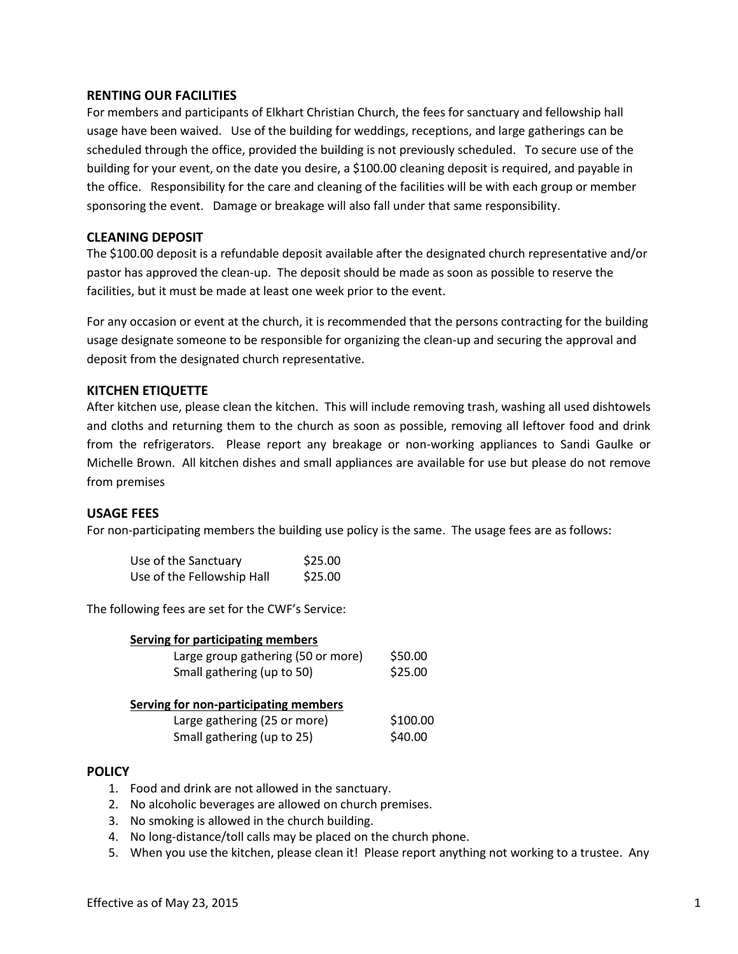## **RENTING OUR FACILITIES**

For members and participants of Elkhart Christian Church, the fees for sanctuary and fellowship hall usage have been waived. Use of the building for weddings, receptions, and large gatherings can be scheduled through the office, provided the building is not previously scheduled. To secure use of the building for your event, on the date you desire, a \$100.00 cleaning deposit is required, and payable in the office. Responsibility for the care and cleaning of the facilities will be with each group or member sponsoring the event. Damage or breakage will also fall under that same responsibility.

### **CLEANING DEPOSIT**

The \$100.00 deposit is a refundable deposit available after the designated church representative and/or pastor has approved the clean-up. The deposit should be made as soon as possible to reserve the facilities, but it must be made at least one week prior to the event.

For any occasion or event at the church, it is recommended that the persons contracting for the building usage designate someone to be responsible for organizing the clean-up and securing the approval and deposit from the designated church representative.

# **KITCHEN ETIQUETTE**

After kitchen use, please clean the kitchen. This will include removing trash, washing all used dishtowels and cloths and returning them to the church as soon as possible, removing all leftover food and drink from the refrigerators. Please report any breakage or non-working appliances to Sandi Gaulke or Michelle Brown. All kitchen dishes and small appliances are available for use but please do not remove from premises

### **USAGE FEES**

For non-participating members the building use policy is the same. The usage fees are as follows:

| Use of the Sanctuary       | \$25.00 |
|----------------------------|---------|
| Use of the Fellowship Hall | \$25.00 |

The following fees are set for the CWF's Service:

| <b>Serving for participating members</b>     |                    |
|----------------------------------------------|--------------------|
| Large group gathering (50 or more)           | \$50.00<br>\$25.00 |
| Small gathering (up to 50)                   |                    |
| <b>Serving for non-participating members</b> |                    |
| Large gathering (25 or more)                 | \$100.00           |
| Small gathering (up to 25)                   | \$40.00            |

### **POLICY**

- 1. Food and drink are not allowed in the sanctuary.
- 2. No alcoholic beverages are allowed on church premises.
- 3. No smoking is allowed in the church building.
- 4. No long-distance/toll calls may be placed on the church phone.
- 5. When you use the kitchen, please clean it! Please report anything not working to a trustee. Any